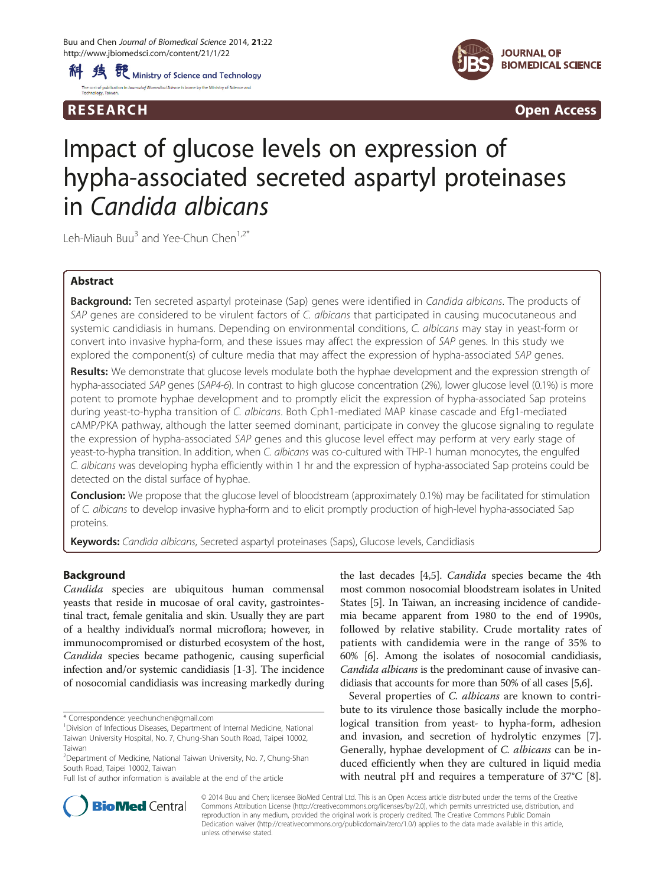



R E S EAR CH Open Access

# Impact of glucose levels on expression of hypha-associated secreted aspartyl proteinases in Candida albicans

Leh-Miauh Buu<sup>3</sup> and Yee-Chun Chen<sup>1,2\*</sup>

# Abstract

Background: Ten secreted aspartyl proteinase (Sap) genes were identified in Candida albicans. The products of SAP genes are considered to be virulent factors of C. albicans that participated in causing mucocutaneous and systemic candidiasis in humans. Depending on environmental conditions, C. albicans may stay in yeast-form or convert into invasive hypha-form, and these issues may affect the expression of SAP genes. In this study we explored the component(s) of culture media that may affect the expression of hypha-associated SAP genes.

Results: We demonstrate that glucose levels modulate both the hyphae development and the expression strength of hypha-associated SAP genes (SAP4-6). In contrast to high glucose concentration (2%), lower glucose level (0.1%) is more potent to promote hyphae development and to promptly elicit the expression of hypha-associated Sap proteins during yeast-to-hypha transition of C. albicans. Both Cph1-mediated MAP kinase cascade and Efg1-mediated cAMP/PKA pathway, although the latter seemed dominant, participate in convey the glucose signaling to regulate the expression of hypha-associated SAP genes and this glucose level effect may perform at very early stage of yeast-to-hypha transition. In addition, when C. albicans was co-cultured with THP-1 human monocytes, the engulfed C. albicans was developing hypha efficiently within 1 hr and the expression of hypha-associated Sap proteins could be detected on the distal surface of hyphae.

**Conclusion:** We propose that the glucose level of bloodstream (approximately 0.1%) may be facilitated for stimulation of C. albicans to develop invasive hypha-form and to elicit promptly production of high-level hypha-associated Sap proteins.

Keywords: Candida albicans, Secreted aspartyl proteinases (Saps), Glucose levels, Candidiasis

# Background

Candida species are ubiquitous human commensal yeasts that reside in mucosae of oral cavity, gastrointestinal tract, female genitalia and skin. Usually they are part of a healthy individual's normal microflora; however, in immunocompromised or disturbed ecosystem of the host, Candida species became pathogenic, causing superficial infection and/or systemic candidiasis [\[1-3](#page-7-0)]. The incidence of nosocomial candidiasis was increasing markedly during

Full list of author information is available at the end of the article

the last decades [\[4,5\]](#page-7-0). Candida species became the 4th most common nosocomial bloodstream isolates in United States [[5](#page-7-0)]. In Taiwan, an increasing incidence of candidemia became apparent from 1980 to the end of 1990s, followed by relative stability. Crude mortality rates of patients with candidemia were in the range of 35% to 60% [\[6](#page-7-0)]. Among the isolates of nosocomial candidiasis, Candida albicans is the predominant cause of invasive candidiasis that accounts for more than 50% of all cases [\[5,6\]](#page-7-0).

Several properties of *C. albicans* are known to contribute to its virulence those basically include the morphological transition from yeast- to hypha-form, adhesion and invasion, and secretion of hydrolytic enzymes [\[7](#page-7-0)]. Generally, hyphae development of C. albicans can be induced efficiently when they are cultured in liquid media with neutral pH and requires a temperature of 37°C [\[8](#page-7-0)].



© 2014 Buu and Chen; licensee BioMed Central Ltd. This is an Open Access article distributed under the terms of the Creative Commons Attribution License [\(http://creativecommons.org/licenses/by/2.0\)](http://creativecommons.org/licenses/by/2.0), which permits unrestricted use, distribution, and reproduction in any medium, provided the original work is properly credited. The Creative Commons Public Domain Dedication waiver [\(http://creativecommons.org/publicdomain/zero/1.0/](http://creativecommons.org/publicdomain/zero/1.0/)) applies to the data made available in this article, unless otherwise stated.

<sup>\*</sup> Correspondence: [yeechunchen@gmail.com](mailto:yeechunchen@gmail.com) <sup>1</sup>

<sup>&</sup>lt;sup>1</sup> Division of Infectious Diseases, Department of Internal Medicine, National Taiwan University Hospital, No. 7, Chung-Shan South Road, Taipei 10002, Taiwan

<sup>&</sup>lt;sup>2</sup>Department of Medicine, National Taiwan University, No. 7, Chung-Shan South Road, Taipei 10002, Taiwan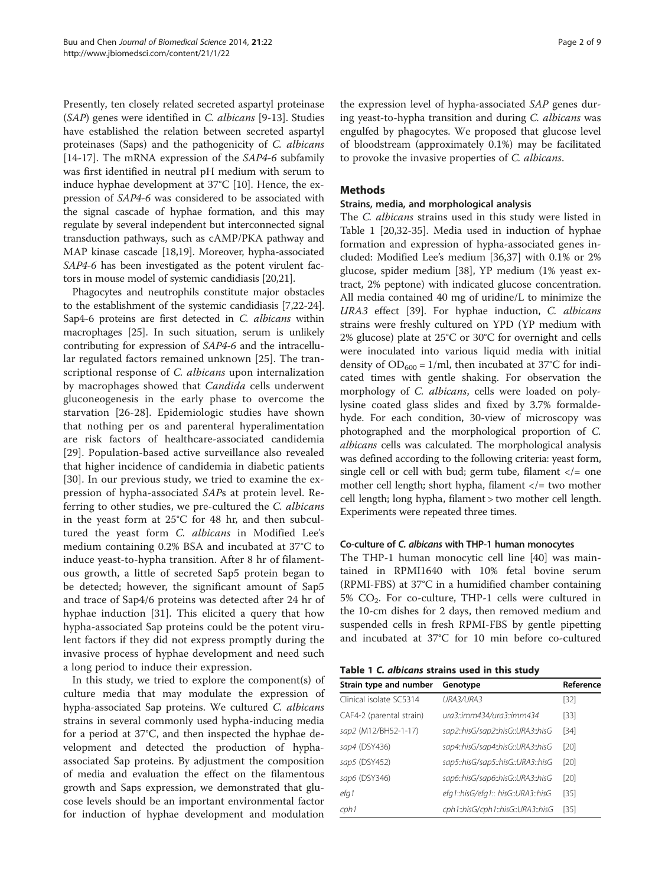Presently, ten closely related secreted aspartyl proteinase (SAP) genes were identified in C. albicans [[9-13\]](#page-7-0). Studies have established the relation between secreted aspartyl proteinases (Saps) and the pathogenicity of C. albicans [[14-17](#page-7-0)]. The mRNA expression of the SAP4-6 subfamily was first identified in neutral pH medium with serum to induce hyphae development at 37°C [[10\]](#page-7-0). Hence, the expression of SAP4-6 was considered to be associated with the signal cascade of hyphae formation, and this may regulate by several independent but interconnected signal transduction pathways, such as cAMP/PKA pathway and MAP kinase cascade [\[18,19](#page-7-0)]. Moreover, hypha-associated SAP4-6 has been investigated as the potent virulent factors in mouse model of systemic candidiasis [\[20,21](#page-7-0)].

Phagocytes and neutrophils constitute major obstacles to the establishment of the systemic candidiasis [[7,22](#page-7-0)-[24](#page-7-0)]. Sap4-6 proteins are first detected in C. albicans within macrophages [[25](#page-7-0)]. In such situation, serum is unlikely contributing for expression of SAP4-6 and the intracellular regulated factors remained unknown [[25\]](#page-7-0). The transcriptional response of *C. albicans* upon internalization by macrophages showed that *Candida* cells underwent gluconeogenesis in the early phase to overcome the starvation [[26-28](#page-7-0)]. Epidemiologic studies have shown that nothing per os and parenteral hyperalimentation are risk factors of healthcare-associated candidemia [[29\]](#page-7-0). Population-based active surveillance also revealed that higher incidence of candidemia in diabetic patients [[30\]](#page-7-0). In our previous study, we tried to examine the expression of hypha-associated SAPs at protein level. Referring to other studies, we pre-cultured the C. albicans in the yeast form at 25°C for 48 hr, and then subcultured the yeast form C. albicans in Modified Lee's medium containing 0.2% BSA and incubated at 37°C to induce yeast-to-hypha transition. After 8 hr of filamentous growth, a little of secreted Sap5 protein began to be detected; however, the significant amount of Sap5 and trace of Sap4/6 proteins was detected after 24 hr of hyphae induction [\[31](#page-7-0)]. This elicited a query that how hypha-associated Sap proteins could be the potent virulent factors if they did not express promptly during the invasive process of hyphae development and need such a long period to induce their expression.

In this study, we tried to explore the component(s) of culture media that may modulate the expression of hypha-associated Sap proteins. We cultured C. albicans strains in several commonly used hypha-inducing media for a period at 37°C, and then inspected the hyphae development and detected the production of hyphaassociated Sap proteins. By adjustment the composition of media and evaluation the effect on the filamentous growth and Saps expression, we demonstrated that glucose levels should be an important environmental factor for induction of hyphae development and modulation

the expression level of hypha-associated SAP genes during yeast-to-hypha transition and during C. albicans was engulfed by phagocytes. We proposed that glucose level of bloodstream (approximately 0.1%) may be facilitated to provoke the invasive properties of C. albicans.

# Methods

## Strains, media, and morphological analysis

The C. albicans strains used in this study were listed in Table 1 [[20,32](#page-7-0)-[35\]](#page-7-0). Media used in induction of hyphae formation and expression of hypha-associated genes included: Modified Lee's medium [[36,37\]](#page-7-0) with 0.1% or 2% glucose, spider medium [[38](#page-7-0)], YP medium (1% yeast extract, 2% peptone) with indicated glucose concentration. All media contained 40 mg of uridine/L to minimize the URA3 effect [[39\]](#page-7-0). For hyphae induction, C. albicans strains were freshly cultured on YPD (YP medium with 2% glucose) plate at 25°C or 30°C for overnight and cells were inoculated into various liquid media with initial density of  $OD_{600} = 1/ml$ , then incubated at 37°C for indicated times with gentle shaking. For observation the morphology of *C. albicans*, cells were loaded on polylysine coated glass slides and fixed by 3.7% formaldehyde. For each condition, 30-view of microscopy was photographed and the morphological proportion of C. albicans cells was calculated. The morphological analysis was defined according to the following criteria: yeast form, single cell or cell with bud; germ tube, filament  $\langle \rangle = 0$  one mother cell length; short hypha, filament  $\langle \rangle$  = two mother cell length; long hypha, filament > two mother cell length. Experiments were repeated three times.

## Co-culture of C. albicans with THP-1 human monocytes

The THP-1 human monocytic cell line [[40\]](#page-7-0) was maintained in RPMI1640 with 10% fetal bovine serum (RPMI-FBS) at 37°C in a humidified chamber containing 5%  $CO<sub>2</sub>$ . For co-culture, THP-1 cells were cultured in the 10-cm dishes for 2 days, then removed medium and suspended cells in fresh RPMI-FBS by gentle pipetting and incubated at 37°C for 10 min before co-cultured

|  |  |  | Table 1 C. albicans strains used in this study |  |  |  |  |  |  |
|--|--|--|------------------------------------------------|--|--|--|--|--|--|
|--|--|--|------------------------------------------------|--|--|--|--|--|--|

| Strain type and number   | Genotype                           | Reference |
|--------------------------|------------------------------------|-----------|
| Clinical isolate SC5314  | URA3/URA3                          | [32]      |
| CAF4-2 (parental strain) | ura3::imm434/ura3::imm434          | [33]      |
| sap2 (M12/BH52-1-17)     | sap2::hisG/sap2::hisG::URA3::hisG  | [34]      |
| sap4 (DSY436)            | sap4::hisG/sap4::hisG::URA3::hisG  | [20]      |
| sap5 (DSY452)            | sap5::hisG/sap5::hisG::URA3::hisG  | [20]      |
| sap6 (DSY346)            | sap6::hisG/sap6::hisG::URA3::hisG  | [20]      |
| efg1                     | efg1::hisG/efg1:: hisG::URA3::hisG | [35]      |
| cph1                     | cph1::hisG/cph1::hisG::URA3::hisG  | [35]      |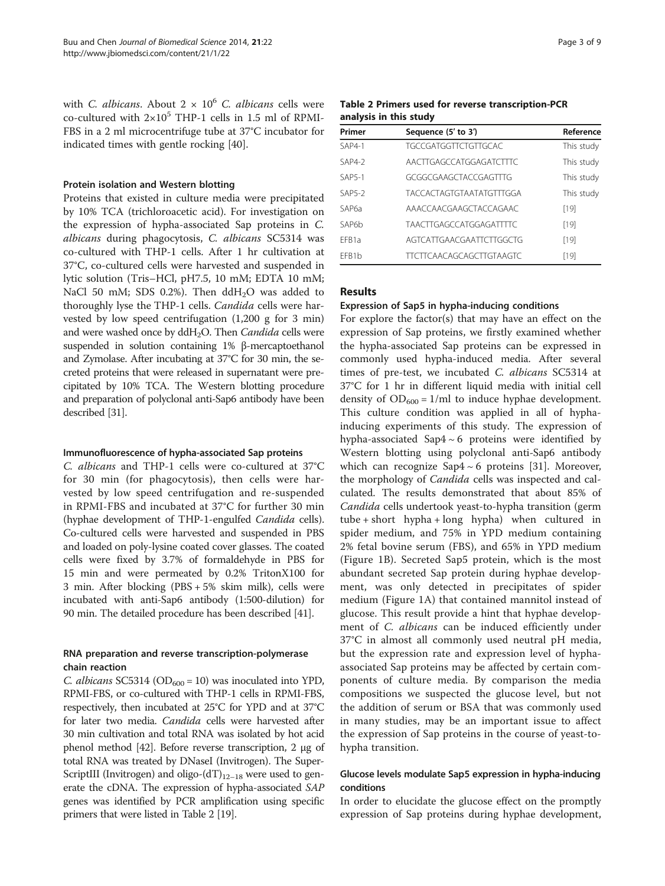with C. albicans. About  $2 \times 10^6$  C. albicans cells were co-cultured with  $2\times10^5$  THP-1 cells in 1.5 ml of RPMI-FBS in a 2 ml microcentrifuge tube at 37°C incubator for indicated times with gentle rocking [\[40](#page-7-0)].

#### Protein isolation and Western blotting

Proteins that existed in culture media were precipitated by 10% TCA (trichloroacetic acid). For investigation on the expression of hypha-associated Sap proteins in C. albicans during phagocytosis, C. albicans SC5314 was co-cultured with THP-1 cells. After 1 hr cultivation at 37°C, co-cultured cells were harvested and suspended in lytic solution (Tris–HCl, pH7.5, 10 mM; EDTA 10 mM; NaCl 50 mM; SDS 0.2%). Then  $ddH<sub>2</sub>O$  was added to thoroughly lyse the THP-1 cells. Candida cells were harvested by low speed centrifugation (1,200 g for 3 min) and were washed once by ddH<sub>2</sub>O. Then Candida cells were suspended in solution containing 1% β-mercaptoethanol and Zymolase. After incubating at 37°C for 30 min, the secreted proteins that were released in supernatant were precipitated by 10% TCA. The Western blotting procedure and preparation of polyclonal anti-Sap6 antibody have been described [\[31\]](#page-7-0).

## Immunofluorescence of hypha-associated Sap proteins

C. albicans and THP-1 cells were co-cultured at 37°C for 30 min (for phagocytosis), then cells were harvested by low speed centrifugation and re-suspended in RPMI-FBS and incubated at 37°C for further 30 min (hyphae development of THP-1-engulfed Candida cells). Co-cultured cells were harvested and suspended in PBS and loaded on poly-lysine coated cover glasses. The coated cells were fixed by 3.7% of formaldehyde in PBS for 15 min and were permeated by 0.2% TritonX100 for 3 min. After blocking (PBS + 5% skim milk), cells were incubated with anti-Sap6 antibody (1:500-dilution) for 90 min. The detailed procedure has been described [\[41](#page-7-0)].

## RNA preparation and reverse transcription-polymerase chain reaction

C. albicans SC5314 (OD<sub>600</sub> = 10) was inoculated into YPD, RPMI-FBS, or co-cultured with THP-1 cells in RPMI-FBS, respectively, then incubated at 25°C for YPD and at 37°C for later two media. Candida cells were harvested after 30 min cultivation and total RNA was isolated by hot acid phenol method [\[42](#page-7-0)]. Before reverse transcription, 2 μg of total RNA was treated by DNaseI (Invitrogen). The Super-ScriptIII (Invitrogen) and oligo- $(dT)_{12-18}$  were used to generate the cDNA. The expression of hypha-associated SAP genes was identified by PCR amplification using specific primers that were listed in Table 2 [\[19\]](#page-7-0).

|                        |  | Table 2 Primers used for reverse transcription-PCR |
|------------------------|--|----------------------------------------------------|
| analysis in this study |  |                                                    |

| Primer             | Sequence (5' to 3')             | Reference  |
|--------------------|---------------------------------|------------|
| <b>SAP4-1</b>      | TGCCGATGGTTCTGTTGCAC            | This study |
| SAP4-2             | AACTTGAGCCATGGAGATCTTTC         | This study |
| <b>SAP5-1</b>      | GCGGCGAAGCTACCGAGTTTG           | This study |
| <b>SAP5-2</b>      | <b>TACCACTAGTGTAATATGTTTGGA</b> | This study |
| SAP <sub>6</sub> a | AAACCAACGAAGCTACCAGAAC          | [19]       |
| SAP <sub>6</sub> b | <b>TAACTTGAGCCATGGAGATTTTC</b>  | [19]       |
| FFR <sub>1</sub> a | AGTCATTGAACGAATTCTTGGCTG        | [19]       |
| FFB <sub>1</sub> b | <b>TTCTTCAACAGCAGCTTGTAAGTC</b> | [19]       |

### Results

#### Expression of Sap5 in hypha-inducing conditions

For explore the factor(s) that may have an effect on the expression of Sap proteins, we firstly examined whether the hypha-associated Sap proteins can be expressed in commonly used hypha-induced media. After several times of pre-test, we incubated C. albicans SC5314 at 37°C for 1 hr in different liquid media with initial cell density of  $OD_{600} = 1/ml$  to induce hyphae development. This culture condition was applied in all of hyphainducing experiments of this study. The expression of hypha-associated Sap $4 \sim 6$  proteins were identified by Western blotting using polyclonal anti-Sap6 antibody which can recognize Sap $4 \sim 6$  proteins [\[31](#page-7-0)]. Moreover, the morphology of *Candida* cells was inspected and calculated. The results demonstrated that about 85% of Candida cells undertook yeast-to-hypha transition (germ tube + short hypha + long hypha) when cultured in spider medium, and 75% in YPD medium containing 2% fetal bovine serum (FBS), and 65% in YPD medium (Figure [1B](#page-3-0)). Secreted Sap5 protein, which is the most abundant secreted Sap protein during hyphae development, was only detected in precipitates of spider medium (Figure [1A](#page-3-0)) that contained mannitol instead of glucose. This result provide a hint that hyphae development of *C. albicans* can be induced efficiently under 37°C in almost all commonly used neutral pH media, but the expression rate and expression level of hyphaassociated Sap proteins may be affected by certain components of culture media. By comparison the media compositions we suspected the glucose level, but not the addition of serum or BSA that was commonly used in many studies, may be an important issue to affect the expression of Sap proteins in the course of yeast-tohypha transition.

# Glucose levels modulate Sap5 expression in hypha-inducing conditions

In order to elucidate the glucose effect on the promptly expression of Sap proteins during hyphae development,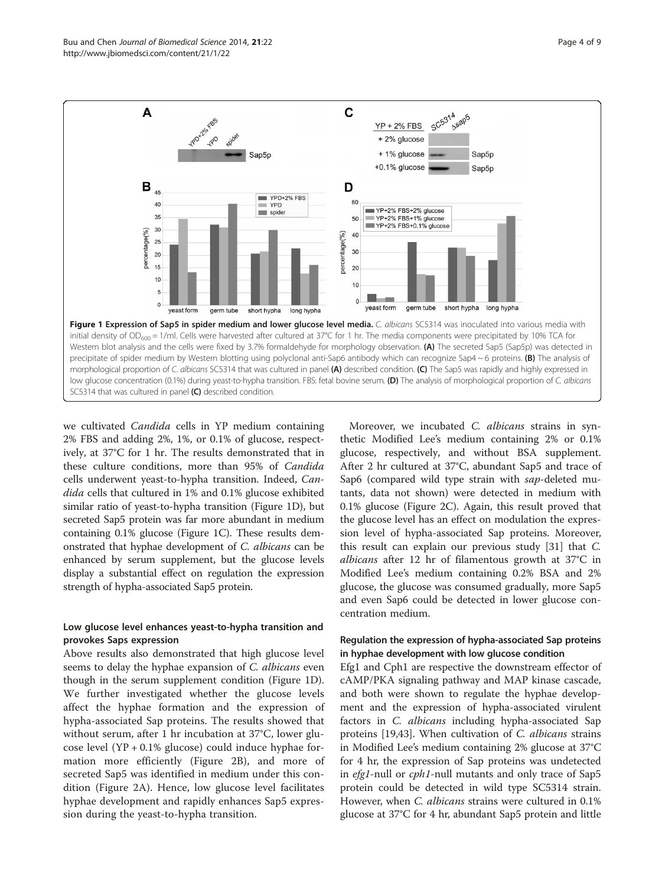<span id="page-3-0"></span>

we cultivated Candida cells in YP medium containing 2% FBS and adding 2%, 1%, or 0.1% of glucose, respectively, at 37°C for 1 hr. The results demonstrated that in these culture conditions, more than 95% of Candida cells underwent yeast-to-hypha transition. Indeed, Candida cells that cultured in 1% and 0.1% glucose exhibited similar ratio of yeast-to-hypha transition (Figure 1D), but secreted Sap5 protein was far more abundant in medium containing 0.1% glucose (Figure 1C). These results demonstrated that hyphae development of C. albicans can be enhanced by serum supplement, but the glucose levels display a substantial effect on regulation the expression strength of hypha-associated Sap5 protein.

# Low glucose level enhances yeast-to-hypha transition and provokes Saps expression

Above results also demonstrated that high glucose level seems to delay the hyphae expansion of C. *albicans* even though in the serum supplement condition (Figure 1D). We further investigated whether the glucose levels affect the hyphae formation and the expression of hypha-associated Sap proteins. The results showed that without serum, after 1 hr incubation at 37°C, lower glucose level (YP + 0.1% glucose) could induce hyphae formation more efficiently (Figure [2](#page-4-0)B), and more of secreted Sap5 was identified in medium under this condition (Figure [2](#page-4-0)A). Hence, low glucose level facilitates hyphae development and rapidly enhances Sap5 expression during the yeast-to-hypha transition.

Moreover, we incubated C. albicans strains in synthetic Modified Lee's medium containing 2% or 0.1% glucose, respectively, and without BSA supplement. After 2 hr cultured at 37°C, abundant Sap5 and trace of Sap6 (compared wild type strain with sap-deleted mutants, data not shown) were detected in medium with 0.1% glucose (Figure [2](#page-4-0)C). Again, this result proved that the glucose level has an effect on modulation the expression level of hypha-associated Sap proteins. Moreover, this result can explain our previous study [[31\]](#page-7-0) that C. albicans after 12 hr of filamentous growth at 37°C in Modified Lee's medium containing 0.2% BSA and 2% glucose, the glucose was consumed gradually, more Sap5 and even Sap6 could be detected in lower glucose concentration medium.

# Regulation the expression of hypha-associated Sap proteins in hyphae development with low glucose condition

Efg1 and Cph1 are respective the downstream effector of cAMP/PKA signaling pathway and MAP kinase cascade, and both were shown to regulate the hyphae development and the expression of hypha-associated virulent factors in C. albicans including hypha-associated Sap proteins [[19,](#page-7-0)[43\]](#page-8-0). When cultivation of *C. albicans* strains in Modified Lee's medium containing 2% glucose at 37°C for 4 hr, the expression of Sap proteins was undetected in *efg1*-null or *cph1*-null mutants and only trace of Sap5 protein could be detected in wild type SC5314 strain. However, when C. albicans strains were cultured in 0.1% glucose at 37°C for 4 hr, abundant Sap5 protein and little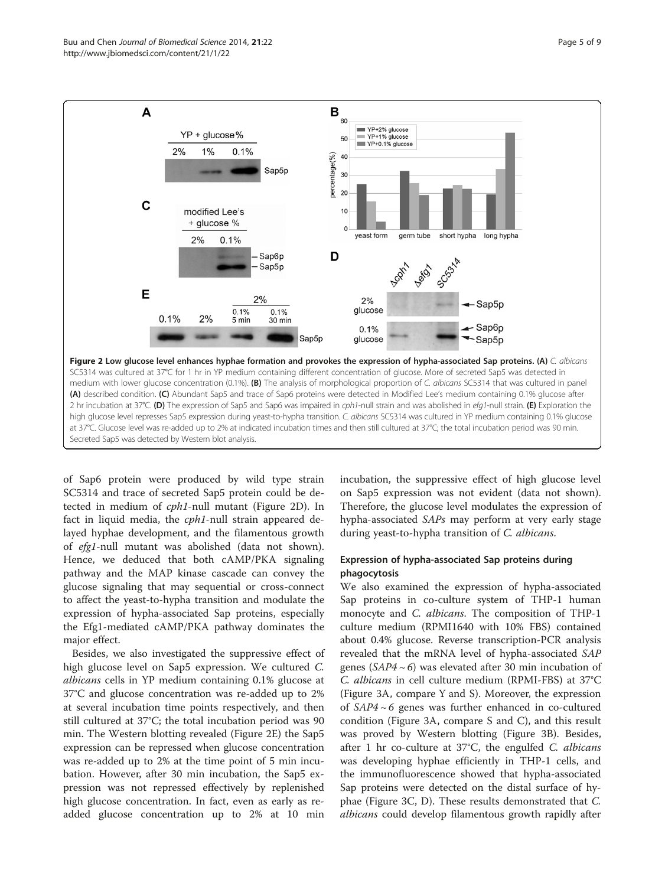<span id="page-4-0"></span>

of Sap6 protein were produced by wild type strain SC5314 and trace of secreted Sap5 protein could be detected in medium of cph1-null mutant (Figure 2D). In fact in liquid media, the cph1-null strain appeared delayed hyphae development, and the filamentous growth of efg1-null mutant was abolished (data not shown). Hence, we deduced that both cAMP/PKA signaling pathway and the MAP kinase cascade can convey the glucose signaling that may sequential or cross-connect to affect the yeast-to-hypha transition and modulate the expression of hypha-associated Sap proteins, especially the Efg1-mediated cAMP/PKA pathway dominates the major effect.

Besides, we also investigated the suppressive effect of high glucose level on Sap5 expression. We cultured C. albicans cells in YP medium containing 0.1% glucose at 37°C and glucose concentration was re-added up to 2% at several incubation time points respectively, and then still cultured at 37°C; the total incubation period was 90 min. The Western blotting revealed (Figure 2E) the Sap5 expression can be repressed when glucose concentration was re-added up to 2% at the time point of 5 min incubation. However, after 30 min incubation, the Sap5 expression was not repressed effectively by replenished high glucose concentration. In fact, even as early as readded glucose concentration up to 2% at 10 min incubation, the suppressive effect of high glucose level on Sap5 expression was not evident (data not shown). Therefore, the glucose level modulates the expression of hypha-associated SAPs may perform at very early stage during yeast-to-hypha transition of *C. albicans*.

# Expression of hypha-associated Sap proteins during phagocytosis

We also examined the expression of hypha-associated Sap proteins in co-culture system of THP-1 human monocyte and C. albicans. The composition of THP-1 culture medium (RPMI1640 with 10% FBS) contained about 0.4% glucose. Reverse transcription-PCR analysis revealed that the mRNA level of hypha-associated SAP genes ( $SAP4 \sim 6$ ) was elevated after 30 min incubation of C. albicans in cell culture medium (RPMI-FBS) at 37°C (Figure [3A](#page-5-0), compare Y and S). Moreover, the expression of  $SAP4 \sim 6$  genes was further enhanced in co-cultured condition (Figure [3](#page-5-0)A, compare S and C), and this result was proved by Western blotting (Figure [3B](#page-5-0)). Besides, after 1 hr co-culture at 37°C, the engulfed C. albicans was developing hyphae efficiently in THP-1 cells, and the immunofluorescence showed that hypha-associated Sap proteins were detected on the distal surface of hyphae (Figure [3C](#page-5-0), D). These results demonstrated that C. albicans could develop filamentous growth rapidly after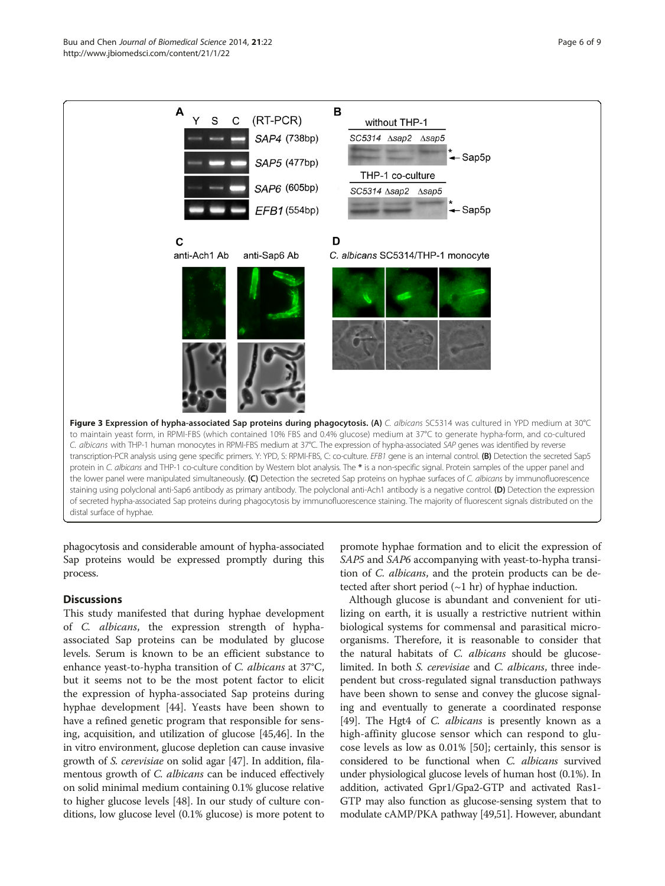<span id="page-5-0"></span>

phagocytosis and considerable amount of hypha-associated Sap proteins would be expressed promptly during this process.

# **Discussions**

This study manifested that during hyphae development of C. albicans, the expression strength of hyphaassociated Sap proteins can be modulated by glucose levels. Serum is known to be an efficient substance to enhance yeast-to-hypha transition of *C. albicans* at 37<sup>°</sup>C, but it seems not to be the most potent factor to elicit the expression of hypha-associated Sap proteins during hyphae development [[44\]](#page-8-0). Yeasts have been shown to have a refined genetic program that responsible for sensing, acquisition, and utilization of glucose [\[45,46\]](#page-8-0). In the in vitro environment, glucose depletion can cause invasive growth of S. cerevisiae on solid agar [[47](#page-8-0)]. In addition, filamentous growth of *C. albicans* can be induced effectively on solid minimal medium containing 0.1% glucose relative to higher glucose levels [[48\]](#page-8-0). In our study of culture conditions, low glucose level (0.1% glucose) is more potent to

promote hyphae formation and to elicit the expression of SAP5 and SAP6 accompanying with yeast-to-hypha transition of C. albicans, and the protein products can be detected after short period  $(\sim 1$  hr) of hyphae induction.

Although glucose is abundant and convenient for utilizing on earth, it is usually a restrictive nutrient within biological systems for commensal and parasitical microorganisms. Therefore, it is reasonable to consider that the natural habitats of C. albicans should be glucoselimited. In both S. cerevisiae and C. albicans, three independent but cross-regulated signal transduction pathways have been shown to sense and convey the glucose signaling and eventually to generate a coordinated response [[49](#page-8-0)]. The Hgt4 of C. albicans is presently known as a high-affinity glucose sensor which can respond to glucose levels as low as 0.01% [[50\]](#page-8-0); certainly, this sensor is considered to be functional when C. albicans survived under physiological glucose levels of human host (0.1%). In addition, activated Gpr1/Gpa2-GTP and activated Ras1- GTP may also function as glucose-sensing system that to modulate cAMP/PKA pathway [\[49,51](#page-8-0)]. However, abundant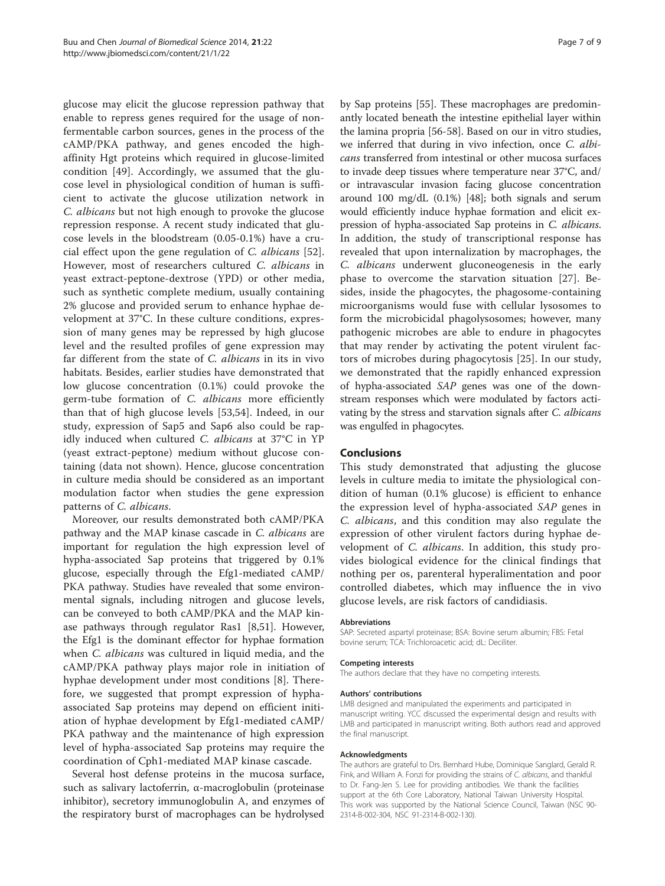glucose may elicit the glucose repression pathway that enable to repress genes required for the usage of nonfermentable carbon sources, genes in the process of the cAMP/PKA pathway, and genes encoded the highaffinity Hgt proteins which required in glucose-limited condition [[49\]](#page-8-0). Accordingly, we assumed that the glucose level in physiological condition of human is sufficient to activate the glucose utilization network in C. albicans but not high enough to provoke the glucose repression response. A recent study indicated that glucose levels in the bloodstream (0.05-0.1%) have a crucial effect upon the gene regulation of C. albicans [\[52](#page-8-0)]. However, most of researchers cultured C. albicans in yeast extract-peptone-dextrose (YPD) or other media, such as synthetic complete medium, usually containing 2% glucose and provided serum to enhance hyphae development at 37°C. In these culture conditions, expression of many genes may be repressed by high glucose level and the resulted profiles of gene expression may far different from the state of C. albicans in its in vivo habitats. Besides, earlier studies have demonstrated that low glucose concentration (0.1%) could provoke the germ-tube formation of C. albicans more efficiently than that of high glucose levels [\[53](#page-8-0),[54](#page-8-0)]. Indeed, in our study, expression of Sap5 and Sap6 also could be rapidly induced when cultured C. albicans at 37°C in YP (yeast extract-peptone) medium without glucose containing (data not shown). Hence, glucose concentration in culture media should be considered as an important modulation factor when studies the gene expression patterns of C. albicans.

Moreover, our results demonstrated both cAMP/PKA pathway and the MAP kinase cascade in C. albicans are important for regulation the high expression level of hypha-associated Sap proteins that triggered by 0.1% glucose, especially through the Efg1-mediated cAMP/ PKA pathway. Studies have revealed that some environmental signals, including nitrogen and glucose levels, can be conveyed to both cAMP/PKA and the MAP kinase pathways through regulator Ras1 [\[8](#page-7-0)[,51\]](#page-8-0). However, the Efg1 is the dominant effector for hyphae formation when *C. albicans* was cultured in liquid media, and the cAMP/PKA pathway plays major role in initiation of hyphae development under most conditions [\[8](#page-7-0)]. Therefore, we suggested that prompt expression of hyphaassociated Sap proteins may depend on efficient initiation of hyphae development by Efg1-mediated cAMP/ PKA pathway and the maintenance of high expression level of hypha-associated Sap proteins may require the coordination of Cph1-mediated MAP kinase cascade.

Several host defense proteins in the mucosa surface, such as salivary lactoferrin, α-macroglobulin (proteinase inhibitor), secretory immunoglobulin A, and enzymes of the respiratory burst of macrophages can be hydrolysed

by Sap proteins [[55\]](#page-8-0). These macrophages are predominantly located beneath the intestine epithelial layer within the lamina propria [[56-58\]](#page-8-0). Based on our in vitro studies, we inferred that during in vivo infection, once C. albicans transferred from intestinal or other mucosa surfaces to invade deep tissues where temperature near 37°C, and/ or intravascular invasion facing glucose concentration around 100 mg/dL (0.1%) [[48](#page-8-0)]; both signals and serum would efficiently induce hyphae formation and elicit expression of hypha-associated Sap proteins in C. albicans. In addition, the study of transcriptional response has revealed that upon internalization by macrophages, the C. albicans underwent gluconeogenesis in the early phase to overcome the starvation situation [[27\]](#page-7-0). Besides, inside the phagocytes, the phagosome-containing microorganisms would fuse with cellular lysosomes to form the microbicidal phagolysosomes; however, many pathogenic microbes are able to endure in phagocytes that may render by activating the potent virulent factors of microbes during phagocytosis [[25](#page-7-0)]. In our study, we demonstrated that the rapidly enhanced expression of hypha-associated SAP genes was one of the downstream responses which were modulated by factors activating by the stress and starvation signals after C. albicans was engulfed in phagocytes.

# Conclusions

This study demonstrated that adjusting the glucose levels in culture media to imitate the physiological condition of human (0.1% glucose) is efficient to enhance the expression level of hypha-associated SAP genes in C. albicans, and this condition may also regulate the expression of other virulent factors during hyphae development of C. albicans. In addition, this study provides biological evidence for the clinical findings that nothing per os, parenteral hyperalimentation and poor controlled diabetes, which may influence the in vivo glucose levels, are risk factors of candidiasis.

#### Abbreviations

SAP: Secreted aspartyl proteinase; BSA: Bovine serum albumin; FBS: Fetal bovine serum; TCA: Trichloroacetic acid; dL: Deciliter.

#### Competing interests

The authors declare that they have no competing interests.

#### Authors' contributions

LMB designed and manipulated the experiments and participated in manuscript writing. YCC discussed the experimental design and results with LMB and participated in manuscript writing. Both authors read and approved the final manuscript.

#### Acknowledgments

The authors are grateful to Drs. Bernhard Hube, Dominique Sanglard, Gerald R. Fink, and William A. Fonzi for providing the strains of C. albicans, and thankful to Dr. Fang-Jen S. Lee for providing antibodies. We thank the facilities support at the 6th Core Laboratory, National Taiwan University Hospital This work was supported by the National Science Council, Taiwan (NSC 90- 2314-B-002-304, NSC 91-2314-B-002-130).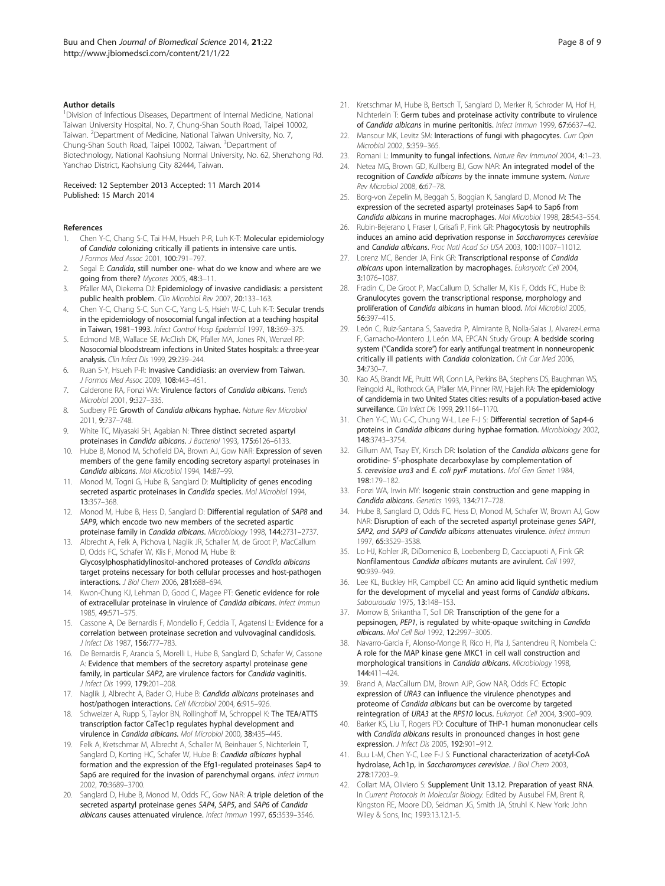#### <span id="page-7-0"></span>Author details

<sup>1</sup> Division of Infectious Diseases, Department of Internal Medicine, National Taiwan University Hospital, No. 7, Chung-Shan South Road, Taipei 10002, Taiwan. <sup>2</sup> Department of Medicine, National Taiwan University, No. 7, Chung-Shan South Road, Taipei 10002, Taiwan. <sup>3</sup>Department of Biotechnology, National Kaohsiung Normal University, No. 62, Shenzhong Rd. Yanchao District, Kaohsiung City 82444, Taiwan.

#### Received: 12 September 2013 Accepted: 11 March 2014 Published: 15 March 2014

#### References

- 1. Chen Y-C, Chang S-C, Tai H-M, Hsueh P-R, Luh K-T: Molecular epidemiology of Candida colonizing critically ill patients in intensive care untis. J Formos Med Assoc 2001, 100:791–797.
- 2. Segal E: Candida, still number one- what do we know and where are we going from there? Mycoses 2005, 48:3–11.
- Pfaller MA, Diekema DJ: Epidemiology of invasive candidiasis: a persistent public health problem. Clin Microbiol Rev 2007, 20:133–163.
- 4. Chen Y-C, Chang S-C, Sun C-C, Yang L-S, Hsieh W-C, Luh K-T: Secular trends in the epidemiology of nosocomial fungal infection at a teaching hospital in Taiwan, 1981–1993. Infect Control Hosp Epidemiol 1997, 18:369–375.
- Edmond MB, Wallace SE, McClish DK, Pfaller MA, Jones RN, Wenzel RP: Nosocomial bloodstream infections in United States hospitals: a three-year analysis. Clin Infect Dis 1999, 29:239–244.
- Ruan S-Y, Hsueh P-R: Invasive Candidiasis: an overview from Taiwan. J Formos Med Assoc 2009, 108:443–451.
- 7. Calderone RA, Fonzi WA: Virulence factors of Candida albicans. Trends Microbiol 2001, 9:327–335.
- Sudbery PE: Growth of Candida albicans hyphae. Nature Rev Microbiol 2011, 9:737–748.
- White TC, Miyasaki SH, Agabian N: Three distinct secreted aspartyl proteinases in Candida albicans. J Bacteriol 1993, 175:6126–6133.
- 10. Hube B, Monod M, Schofield DA, Brown AJ, Gow NAR: Expression of seven members of the gene family encoding secretory aspartyl proteinases in Candida albicans. Mol Microbiol 1994, 14:87–99.
- 11. Monod M, Togni G, Hube B, Sanglard D: Multiplicity of genes encoding secreted aspartic proteinases in Candida species. Mol Microbiol 1994, 13:357–368.
- 12. Monod M, Hube B, Hess D, Sanglard D: Differential regulation of SAP8 and SAP9, which encode two new members of the secreted aspartic proteinase family in Candida albicans. Microbiology 1998, 144:2731–2737.
- 13. Albrecht A, Felk A, Pichova I, Naglik JR, Schaller M, de Groot P, MacCallum D, Odds FC, Schafer W, Klis F, Monod M, Hube B: Glycosylphosphatidylinositol-anchored proteases of Candida albicans target proteins necessary for both cellular processes and host-pathogen interactions. J Biol Chem 2006, 281:688–694.
- 14. Kwon-Chung KJ, Lehman D, Good C, Magee PT: Genetic evidence for role of extracellular proteinase in virulence of Candida albicans. Infect Immun 1985, 49:571–575.
- 15. Cassone A, De Bernardis F, Mondello F, Ceddia T, Agatensi L: Evidence for a correlation between proteinase secretion and vulvovaginal candidosis. J Infect Dis 1987, 156:777–783.
- 16. De Bernardis F, Arancia S, Morelli L, Hube B, Sanglard D, Schafer W, Cassone A: Evidence that members of the secretory aspartyl proteinase gene family, in particular SAP2, are virulence factors for Candida vaginitis. J Infect Dis 1999, 179:201–208.
- 17. Naglik J, Albrecht A, Bader O, Hube B: Candida albicans proteinases and host/pathogen interactions. Cell Microbiol 2004, 6:915–926.
- 18. Schweizer A, Rupp S, Taylor BN, Rollinghoff M, Schroppel K: The TEA/ATTS transcription factor CaTec1p regulates hyphal development and virulence in Candida albicans. Mol Microbiol 2000, 38:435–445.
- 19. Felk A, Kretschmar M, Albrecht A, Schaller M, Beinhauer S, Nichterlein T, Sanglard D, Korting HC, Schafer W, Hube B: Candida albicans hyphal formation and the expression of the Efg1-regulated proteinases Sap4 to Sap6 are required for the invasion of parenchymal organs. Infect Immun 2002, 70:3689–3700.
- 20. Sanglard D, Hube B, Monod M, Odds FC, Gow NAR: A triple deletion of the secreted aspartyl proteinase genes SAP4, SAP5, and SAP6 of Candida albicans causes attenuated virulence. Infect Immun 1997, 65:3539–3546.
- 21. Kretschmar M, Hube B, Bertsch T, Sanglard D, Merker R, Schroder M, Hof H, Nichterlein T: Germ tubes and proteinase activity contribute to virulence of Candida albicans in murine peritonitis. Infect Immun 1999, 67:6637–42.
- 22. Mansour MK, Levitz SM: Interactions of fungi with phagocytes. Curr Opin Microbiol 2002, 5:359–365.
- 23. Romani L: Immunity to fungal infections. Nature Rev Immunol 2004, 4:1-23.
- 24. Netea MG, Brown GD, Kullberg BJ, Gow NAR: An integrated model of the recognition of Candida albicans by the innate immune system. Nature Rev Microbiol 2008, 6:67–78.
- 25. Borg-von Zepelin M, Beggah S, Boggian K, Sanglard D, Monod M: The expression of the secreted aspartyl proteinases Sap4 to Sap6 from Candida albicans in murine macrophages. Mol Microbiol 1998, 28:543–554.
- 26. Rubin-Bejerano I, Fraser I, Grisafi P, Fink GR: Phagocytosis by neutrophils induces an amino acid deprivation response in Saccharomyces cerevisiae and Candida albicans. Proc Natl Acad Sci USA 2003, 100:11007-11012.
- 27. Lorenz MC, Bender JA, Fink GR: Transcriptional response of Candida albicans upon internalization by macrophages. Eukaryotic Cell 2004, 3:1076–1087.
- 28. Fradin C, De Groot P, MacCallum D, Schaller M, Klis F, Odds FC, Hube B: Granulocytes govern the transcriptional response, morphology and proliferation of Candida albicans in human blood. Mol Microbiol 2005, 56:397–415.
- 29. León C, Ruiz-Santana S, Saavedra P, Almirante B, Nolla-Salas J, Alvarez-Lerma F, Garnacho-Montero J, León MA, EPCAN Study Group: A bedside scoring system ("Candida score") for early antifungal treatment in nonneuropenic critically ill patients with Candida colonization. Crit Car Med 2006, 34:730–7.
- 30. Kao AS, Brandt ME, Pruitt WR, Conn LA, Perkins BA, Stephens DS, Baughman WS, Reingold AL, Rothrock GA, Pfaller MA, Pinner RW, Hajjeh RA: The epidemiology of candidemia in two United States cities: results of a population-based active surveillance. Clin Infect Dis 1999, 29:1164-1170.
- 31. Chen Y-C, Wu C-C, Chung W-L, Lee F-J S: Differential secretion of Sap4-6 proteins in Candida albicans during hyphae formation. Microbiology 2002, 148:3743–3754.
- 32. Gillum AM, Tsay EY, Kirsch DR: Isolation of the Candida albicans gene for orotidine- 5'-phosphate decarboxylase by complementation of S. cerevisiae ura3 and E. coli pyrF mutations. Mol Gen Genet 1984, 198:179–182.
- 33. Fonzi WA, Irwin MY: Isogenic strain construction and gene mapping in Candida albicans. Genetics 1993, 134:717–728.
- 34. Hube B, Sanglard D, Odds FC, Hess D, Monod M, Schafer W, Brown AJ, Gow NAR: Disruption of each of the secreted aspartyl proteinase genes SAP1, SAP2, and SAP3 of Candida albicans attenuates virulence. Infect Immun 1997, 65:3529–3538.
- 35. Lo HJ, Kohler JR, DiDomenico B, Loebenberg D, Cacciapuoti A, Fink GR: Nonfilamentous Candida albicans mutants are avirulent. Cell 1997, 90:939–949.
- 36. Lee KL, Buckley HR, Campbell CC: An amino acid liquid synthetic medium for the development of mycelial and yeast forms of Candida albicans. Sabouraudia 1975, 13:148–153.
- 37. Morrow B, Srikantha T, Soll DR: Transcription of the gene for a pepsinogen, PEP1, is regulated by white-opaque switching in Candida albicans. Mol Cell Biol 1992, 12:2997–3005.
- 38. Navarro-Garcia F, Alonso-Monge R, Rico H, Pla J, Santendreu R, Nombela C: A role for the MAP kinase gene MKC1 in cell wall construction and morphological transitions in Candida albicans. Microbiology 1998, 144:411–424.
- 39. Brand A, MacCallum DM, Brown AJP, Gow NAR, Odds FC: Ectopic expression of URA3 can influence the virulence phenotypes and proteome of Candida albicans but can be overcome by targeted reintegration of URA3 at the RPS10 locus. Eukaryot. Cell 2004, 3:900–909.
- 40. Barker KS, Liu T, Rogers PD: Coculture of THP-1 human mononuclear cells with Candida albicans results in pronounced changes in host gene expression. J Infect Dis 2005, 192:901–912.
- 41. Buu L-M, Chen Y-C, Lee F-J S: Functional characterization of acetyl-CoA hydrolase, Ach1p, in Saccharomyces cerevisiae. J Biol Chem 2003, 278:17203–9.
- 42. Collart MA, Oliviero S: Supplement Unit 13.12. Preparation of yeast RNA. In Current Protocols in Molecular Biology. Edited by Ausubel FM, Brent R, Kingston RE, Moore DD, Seidman JG, Smith JA, Struhl K. New York: John Wiley & Sons, Inc; 1993:13.12.1-5.